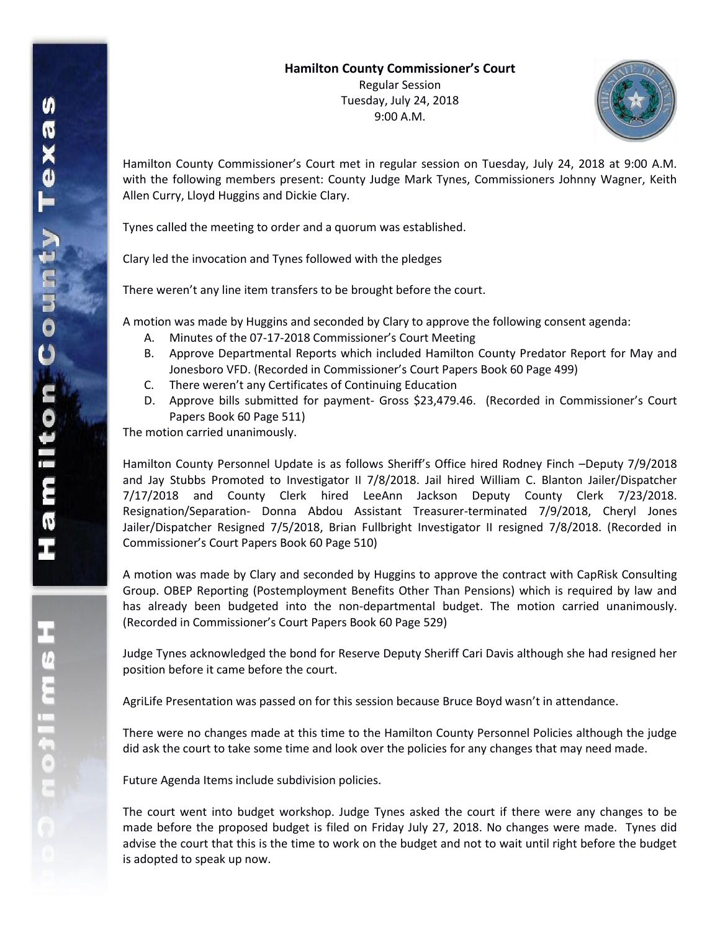Tuesday, July 24, 2018 9:00 A.M.



Hamilton County Commissioner's Court met in regular session on Tuesday, July 24, 2018 at 9:00 A.M. with the following members present: County Judge Mark Tynes, Commissioners Johnny Wagner, Keith Allen Curry, Lloyd Huggins and Dickie Clary.

Tynes called the meeting to order and a quorum was established.

Clary led the invocation and Tynes followed with the pledges

There weren't any line item transfers to be brought before the court.

A motion was made by Huggins and seconded by Clary to approve the following consent agenda:

- A. Minutes of the 07-17-2018 Commissioner's Court Meeting
- B. Approve Departmental Reports which included Hamilton County Predator Report for May and Jonesboro VFD. (Recorded in Commissioner's Court Papers Book 60 Page 499)
- C. There weren't any Certificates of Continuing Education
- D. Approve bills submitted for payment- Gross \$23,479.46. (Recorded in Commissioner's Court Papers Book 60 Page 511)

The motion carried unanimously.

Hamilton County Personnel Update is as follows Sheriff's Office hired Rodney Finch –Deputy 7/9/2018 and Jay Stubbs Promoted to Investigator II 7/8/2018. Jail hired William C. Blanton Jailer/Dispatcher 7/17/2018 and County Clerk hired LeeAnn Jackson Deputy County Clerk 7/23/2018. Resignation/Separation- Donna Abdou Assistant Treasurer-terminated 7/9/2018, Cheryl Jones Jailer/Dispatcher Resigned 7/5/2018, Brian Fullbright Investigator II resigned 7/8/2018. (Recorded in Commissioner's Court Papers Book 60 Page 510)

A motion was made by Clary and seconded by Huggins to approve the contract with CapRisk Consulting Group. OBEP Reporting (Postemployment Benefits Other Than Pensions) which is required by law and has already been budgeted into the non-departmental budget. The motion carried unanimously. (Recorded in Commissioner's Court Papers Book 60 Page 529)

Judge Tynes acknowledged the bond for Reserve Deputy Sheriff Cari Davis although she had resigned her position before it came before the court.

AgriLife Presentation was passed on for this session because Bruce Boyd wasn't in attendance.

There were no changes made at this time to the Hamilton County Personnel Policies although the judge did ask the court to take some time and look over the policies for any changes that may need made.

Future Agenda Items include subdivision policies.

The court went into budget workshop. Judge Tynes asked the court if there were any changes to be made before the proposed budget is filed on Friday July 27, 2018. No changes were made. Tynes did advise the court that this is the time to work on the budget and not to wait until right before the budget is adopted to speak up now.

エムミニャウこ